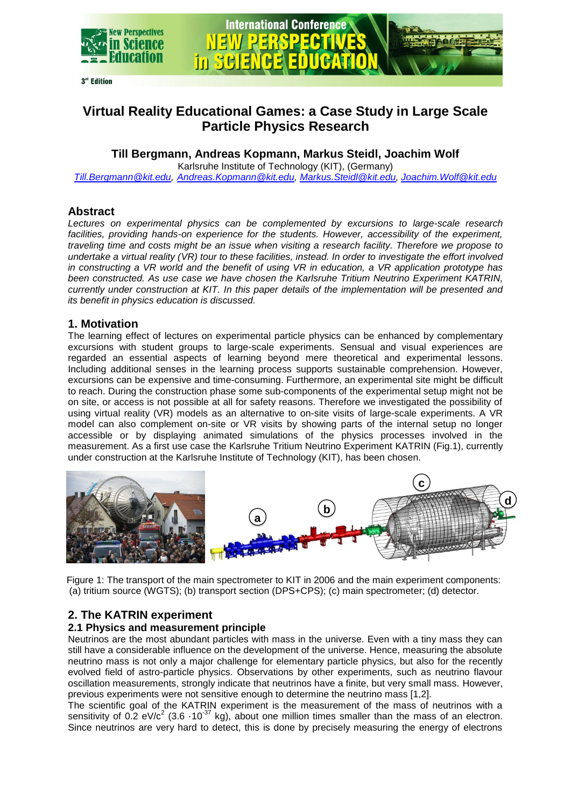

# **Virtual Reality Educational Games: a Case Study in Large Scale Particle Physics Research**

# **Till Bergmann, Andreas Kopmann, Markus Steidl, Joachim Wolf**

Karlsruhe Institute of Technology (KIT), (Germany)

*[Till.Bergmann@kit.edu,](mailto:Till.Bergmann@kit.edu) [Andreas.Kopmann@kit.edu,](mailto:Andreas.Kopmann@kit.edu) [Markus.Steidl@kit.edu,](mailto:Markus.Steidl@kit.edu) [Joachim.Wolf@kit.edu](mailto:Joachim.Wolf@kit.edu)*

# **Abstract**

*Lectures on experimental physics can be complemented by excursions to large-scale research*  facilities, providing hands-on experience for the students. However, accessibility of the experiment, *traveling time and costs might be an issue when visiting a research facility. Therefore we propose to undertake a virtual reality (VR) tour to these facilities, instead. In order to investigate the effort involved in constructing a VR world and the benefit of using VR in education, a VR application prototype has been constructed. As use case we have chosen the Karlsruhe Tritium Neutrino Experiment KATRIN, currently under construction at KIT. In this paper details of the implementation will be presented and its benefit in physics education is discussed.*

# **1. Motivation**

The learning effect of lectures on experimental particle physics can be enhanced by complementary excursions with student groups to large-scale experiments. Sensual and visual experiences are regarded an essential aspects of learning beyond mere theoretical and experimental lessons. Including additional senses in the learning process supports sustainable comprehension. However, excursions can be expensive and time-consuming. Furthermore, an experimental site might be difficult to reach. During the construction phase some sub-components of the experimental setup might not be on site, or access is not possible at all for safety reasons. Therefore we investigated the possibility of using virtual reality (VR) models as an alternative to on-site visits of large-scale experiments. A VR model can also complement on-site or VR visits by showing parts of the internal setup no longer accessible or by displaying animated simulations of the physics processes involved in the measurement. As a first use case the Karlsruhe Tritium Neutrino Experiment KATRIN (Fig.1), currently under construction at the Karlsruhe Institute of Technology (KIT), has been chosen.



Figure 1: The transport of the main spectrometer to KIT in 2006 and the main experiment components: (a) tritium source (WGTS); (b) transport section (DPS+CPS); (c) main spectrometer; (d) detector.

# **2. The KATRIN experiment**

## **2.1 Physics and measurement principle**

Neutrinos are the most abundant particles with mass in the universe. Even with a tiny mass they can still have a considerable influence on the development of the universe. Hence, measuring the absolute neutrino mass is not only a major challenge for elementary particle physics, but also for the recently evolved field of astro-particle physics. Observations by other experiments, such as neutrino flavour oscillation measurements, strongly indicate that neutrinos have a finite, but very small mass. However, previous experiments were not sensitive enough to determine the neutrino mass [1,2].

The scientific goal of the KATRIN experiment is the measurement of the mass of neutrinos with a sensitivity of 0.2 eV/ $c^2$  (3.6  $\cdot$ 10<sup>-37</sup> kg), about one million times smaller than the mass of an electron. Since neutrinos are very hard to detect, this is done by precisely measuring the energy of electrons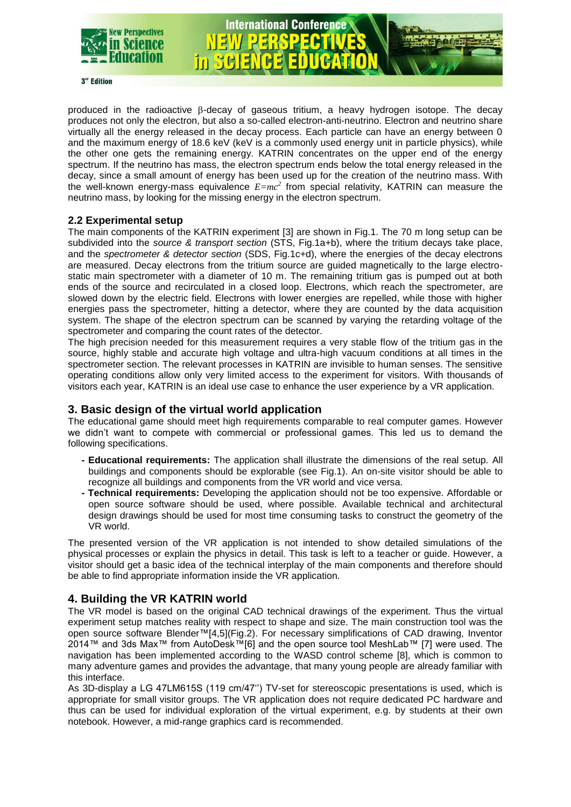

3<sup>rd</sup> Edition

produced in the radioactive  $\beta$ -decay of gaseous tritium, a heavy hydrogen isotope. The decay produces not only the electron, but also a so-called electron-anti-neutrino. Electron and neutrino share virtually all the energy released in the decay process. Each particle can have an energy between 0 and the maximum energy of 18.6 keV (keV is a commonly used energy unit in particle physics), while the other one gets the remaining energy. KATRIN concentrates on the upper end of the energy spectrum. If the neutrino has mass, the electron spectrum ends below the total energy released in the decay, since a small amount of energy has been used up for the creation of the neutrino mass. With the well-known energy-mass equivalence *E=mc<sup>2</sup>* from special relativity, KATRIN can measure the neutrino mass, by looking for the missing energy in the electron spectrum.

**International Conference** 

in Sela

#### **2.2 Experimental setup**

The main components of the KATRIN experiment [3] are shown in Fig.1. The 70 m long setup can be subdivided into the *source & transport section* (STS, Fig.1a+b), where the tritium decays take place, and the *spectrometer & detector section* (SDS, Fig.1c+d), where the energies of the decay electrons are measured. Decay electrons from the tritium source are guided magnetically to the large electrostatic main spectrometer with a diameter of 10 m. The remaining tritium gas is pumped out at both ends of the source and recirculated in a closed loop. Electrons, which reach the spectrometer, are slowed down by the electric field. Electrons with lower energies are repelled, while those with higher energies pass the spectrometer, hitting a detector, where they are counted by the data acquisition system. The shape of the electron spectrum can be scanned by varying the retarding voltage of the spectrometer and comparing the count rates of the detector.

The high precision needed for this measurement requires a very stable flow of the tritium gas in the source, highly stable and accurate high voltage and ultra-high vacuum conditions at all times in the spectrometer section. The relevant processes in KATRIN are invisible to human senses. The sensitive operating conditions allow only very limited access to the experiment for visitors. With thousands of visitors each year, KATRIN is an ideal use case to enhance the user experience by a VR application.

## **3. Basic design of the virtual world application**

The educational game should meet high requirements comparable to real computer games. However we didn't want to compete with commercial or professional games. This led us to demand the following specifications.

- **- Educational requirements:** The application shall illustrate the dimensions of the real setup. All buildings and components should be explorable (see Fig.1). An on-site visitor should be able to recognize all buildings and components from the VR world and vice versa.
- **- Technical requirements:** Developing the application should not be too expensive. Affordable or open source software should be used, where possible. Available technical and architectural design drawings should be used for most time consuming tasks to construct the geometry of the VR world.

The presented version of the VR application is not intended to show detailed simulations of the physical processes or explain the physics in detail. This task is left to a teacher or guide. However, a visitor should get a basic idea of the technical interplay of the main components and therefore should be able to find appropriate information inside the VR application.

## **4. Building the VR KATRIN world**

The VR model is based on the original CAD technical drawings of the experiment. Thus the virtual experiment setup matches reality with respect to shape and size. The main construction tool was the open source software Blender™[4,5](Fig.2). For necessary simplifications of CAD drawing, Inventor 2014™ and 3ds Max™ from AutoDesk™[6] and the open source tool MeshLab™ [7] were used. The navigation has been implemented according to the WASD control scheme [8], which is common to many adventure games and provides the advantage, that many young people are already familiar with this interface.

As 3D-display a LG 47LM615S (119 cm/47'') TV-set for stereoscopic presentations is used, which is appropriate for small visitor groups. The VR application does not require dedicated PC hardware and thus can be used for individual exploration of the virtual experiment, e.g. by students at their own notebook. However, a mid-range graphics card is recommended.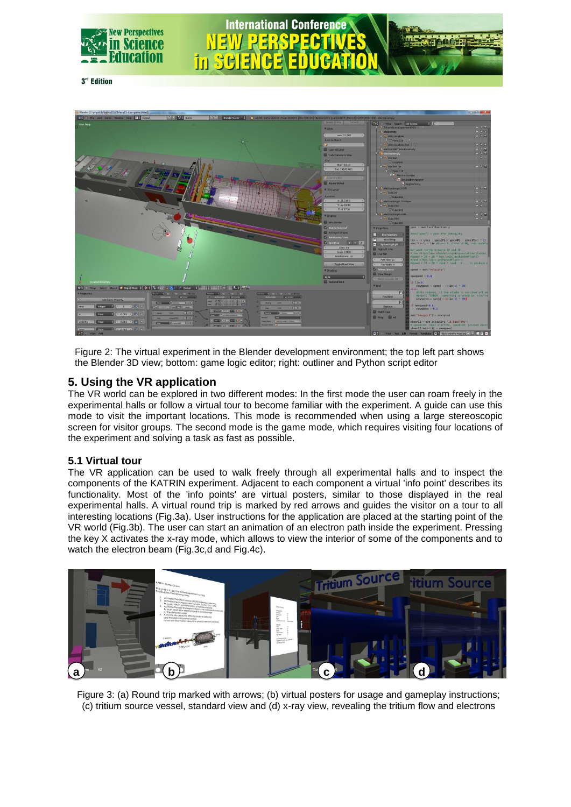

SHI

 $\ln$ 

3<sup>rd</sup> Edition



**International Conference** 

Figure 2: The virtual experiment in the Blender development environment; the top left part shows the Blender 3D view; bottom: game logic editor; right: outliner and Python script editor

# **5. Using the VR application**

The VR world can be explored in two different modes: In the first mode the user can roam freely in the experimental halls or follow a virtual tour to become familiar with the experiment. A guide can use this mode to visit the important locations. This mode is recommended when using a large stereoscopic screen for visitor groups. The second mode is the game mode, which requires visiting four locations of the experiment and solving a task as fast as possible.

## **5.1 Virtual tour**

The VR application can be used to walk freely through all experimental halls and to inspect the components of the KATRIN experiment. Adjacent to each component a virtual 'info point' describes its functionality. Most of the 'info points' are virtual posters, similar to those displayed in the real experimental halls. A virtual round trip is marked by red arrows and guides the visitor on a tour to all interesting locations (Fig.3a). User instructions for the application are placed at the starting point of the VR world (Fig.3b). The user can start an animation of an electron path inside the experiment. Pressing the key X activates the x-ray mode, which allows to view the interior of some of the components and to watch the electron beam (Fig.3c,d and Fig.4c).



Figure 3: (a) Round trip marked with arrows; (b) virtual posters for usage and gameplay instructions; (c) tritium source vessel, standard view and (d) x-ray view, revealing the tritium flow and electrons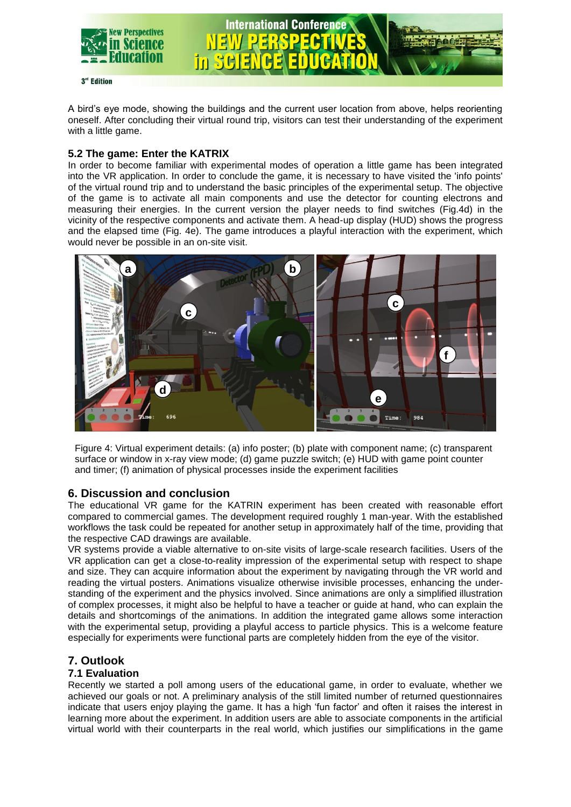

A bird's eye mode, showing the buildings and the current user location from above, helps reorienting oneself. After concluding their virtual round trip, visitors can test their understanding of the experiment with a little game.

#### **5.2 The game: Enter the KATRIX**

In order to become familiar with experimental modes of operation a little game has been integrated into the VR application. In order to conclude the game, it is necessary to have visited the 'info points' of the virtual round trip and to understand the basic principles of the experimental setup. The objective of the game is to activate all main components and use the detector for counting electrons and measuring their energies. In the current version the player needs to find switches (Fig.4d) in the vicinity of the respective components and activate them. A head-up display (HUD) shows the progress and the elapsed time (Fig. 4e). The game introduces a playful interaction with the experiment, which would never be possible in an on-site visit.



Figure 4: Virtual experiment details: (a) info poster; (b) plate with component name; (c) transparent surface or window in x-ray view mode; (d) game puzzle switch; (e) HUD with game point counter and timer; (f) animation of physical processes inside the experiment facilities

## **6. Discussion and conclusion**

The educational VR game for the KATRIN experiment has been created with reasonable effort compared to commercial games. The development required roughly 1 man-year. With the established workflows the task could be repeated for another setup in approximately half of the time, providing that the respective CAD drawings are available.

VR systems provide a viable alternative to on-site visits of large-scale research facilities. Users of the VR application can get a close-to-reality impression of the experimental setup with respect to shape and size. They can acquire information about the experiment by navigating through the VR world and reading the virtual posters. Animations visualize otherwise invisible processes, enhancing the understanding of the experiment and the physics involved. Since animations are only a simplified illustration of complex processes, it might also be helpful to have a teacher or guide at hand, who can explain the details and shortcomings of the animations. In addition the integrated game allows some interaction with the experimental setup, providing a playful access to particle physics. This is a welcome feature especially for experiments were functional parts are completely hidden from the eye of the visitor.

# **7. Outlook**

## **7.1 Evaluation**

Recently we started a poll among users of the educational game, in order to evaluate, whether we achieved our goals or not. A preliminary analysis of the still limited number of returned questionnaires indicate that users enjoy playing the game. It has a high 'fun factor' and often it raises the interest in learning more about the experiment. In addition users are able to associate components in the artificial virtual world with their counterparts in the real world, which justifies our simplifications in the game